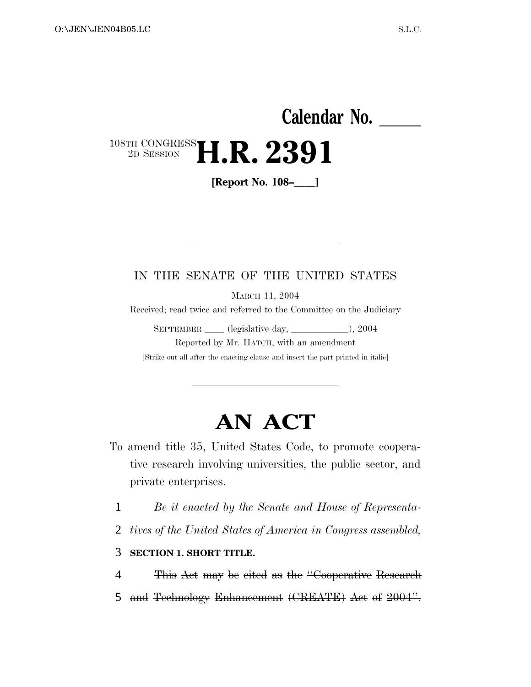# **Calendar No.**  108TH CONGRESS 2D SESSION **H.R. 2391**

**[Report No. 108–]**

### IN THE SENATE OF THE UNITED STATES

MARCH 11, 2004

Received; read twice and referred to the Committee on the Judiciary

SEPTEMBER (legislative day, 10004), 2004 Reported by Mr. HATCH, with an amendment

[Strike out all after the enacting clause and insert the part printed in italic]

# **AN ACT**

- To amend title 35, United States Code, to promote cooperative research involving universities, the public sector, and private enterprises.
	- 1 *Be it enacted by the Senate and House of Representa-*
	- 2 *tives of the United States of America in Congress assembled,*

#### 3 **SECTION 1. SHORT TITLE.**

4 This Act may be cited as the ''Cooperative Research 5 and Technology Enhancement (CREATE) Act of 2004".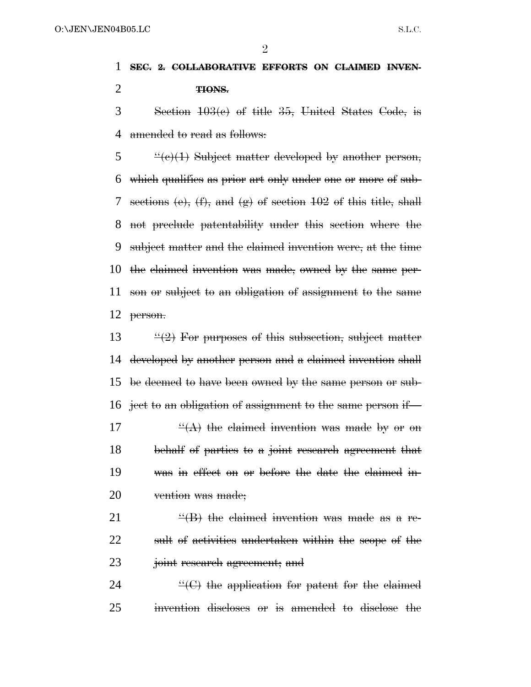### **SEC. 2. COLLABORATIVE EFFORTS ON CLAIMED INVEN-TIONS.**

 Section 103(c) of title 35, United States Code, is 4 amended to read as follows:

 $\frac{4}{6}$   $\frac{4}{6}(e)(1)$  Subject matter developed by another person, which qualifies as prior art only under one or more of sub- sections (e), (f), and (g) of section 102 of this title, shall not preclude patentability under this section where the subject matter and the claimed invention were, at the time the claimed invention was made, owned by the same per- son or subject to an obligation of assignment to the same person.

 $\frac{13}{2}$  For purposes of this subsection, subject matter developed by another person and a claimed invention shall be deemed to have been owned by the same person or sub- ject to an obligation of assignment to the same person if—  $\frac{H(A)}{A}$  the claimed invention was made by or on behalf of parties to a joint research agreement that was in effect on or before the date the claimed in-20 vention was made;

21  $\frac{H}{B}$  the claimed invention was made as a re- sult of activities undertaken within the scope of the joint research agreement; and

24  $\left( \textrm{C} \right)$  the application for patent for the claimed invention discloses or is amended to disclose the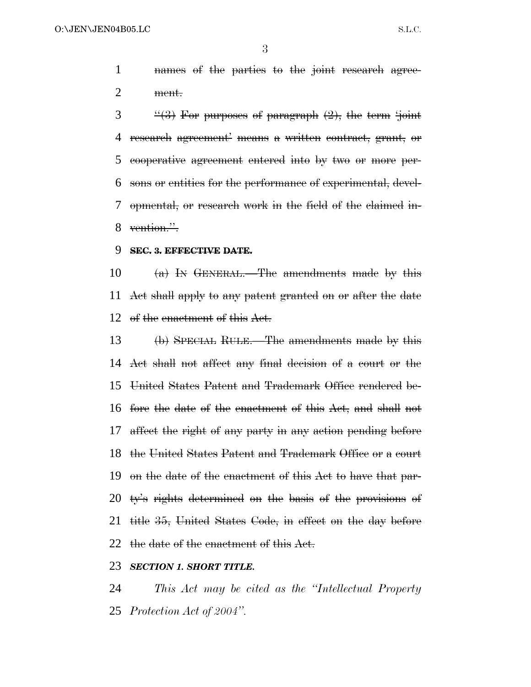names of the parties to the joint research agree-ment.

 $3 \frac{4}{3}$  For purposes of paragraph  $(2)$ , the term 'joint' research agreement' means a written contract, grant, or cooperative agreement entered into by two or more per- sons or entities for the performance of experimental, devel- opmental, or research work in the field of the claimed in-8 vention.".

#### **SEC. 3. EFFECTIVE DATE.**

 (a) IN GENERAL.—The amendments made by this Act shall apply to any patent granted on or after the date 12 of the enactment of this Act.

 (b) SPECIAL RULE.—The amendments made by this Act shall not affect any final decision of a court or the United States Patent and Trademark Office rendered be- fore the date of the enactment of this Act, and shall not affect the right of any party in any action pending before the United States Patent and Trademark Office or a court on the date of the enactment of this Act to have that par- ty's rights determined on the basis of the provisions of title 35, United States Code, in effect on the day before the date of the enactment of this Act.

#### *SECTION 1. SHORT TITLE.*

 *This Act may be cited as the ''Intellectual Property Protection Act of 2004''.*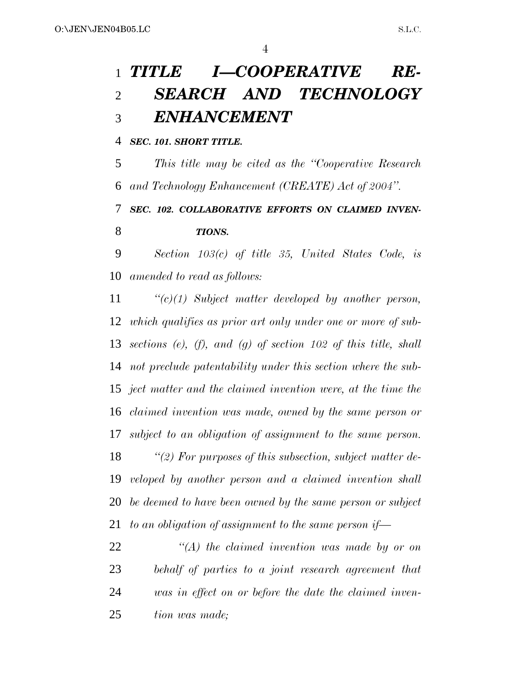# *TITLE I—COOPERATIVE RE- SEARCH AND TECHNOLOGY ENHANCEMENT*

*SEC. 101. SHORT TITLE.*

 *This title may be cited as the ''Cooperative Research and Technology Enhancement (CREATE) Act of 2004''.*

 *SEC. 102. COLLABORATIVE EFFORTS ON CLAIMED INVEN-TIONS.*

 *Section 103(c) of title 35, United States Code, is amended to read as follows:*

 *''(c)(1) Subject matter developed by another person, which qualifies as prior art only under one or more of sub- sections (e), (f), and (g) of section 102 of this title, shall not preclude patentability under this section where the sub- ject matter and the claimed invention were, at the time the claimed invention was made, owned by the same person or subject to an obligation of assignment to the same person. ''(2) For purposes of this subsection, subject matter de- veloped by another person and a claimed invention shall be deemed to have been owned by the same person or subject to an obligation of assignment to the same person if—*

 *''(A) the claimed invention was made by or on behalf of parties to a joint research agreement that was in effect on or before the date the claimed inven-tion was made;*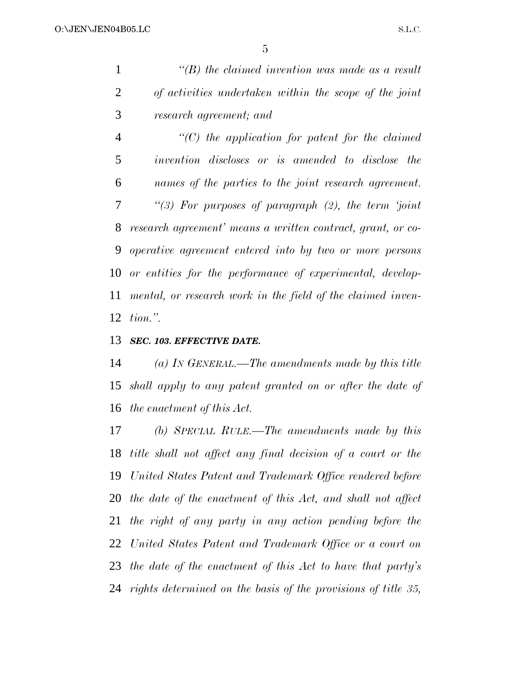|   | $\lq\lq(B)$ the claimed invention was made as a result |
|---|--------------------------------------------------------|
| 2 | of activities undertaken within the scope of the joint |
| 3 | research agreement; and                                |

 *''(C) the application for patent for the claimed invention discloses or is amended to disclose the names of the parties to the joint research agreement. ''(3) For purposes of paragraph (2), the term 'joint research agreement' means a written contract, grant, or co- operative agreement entered into by two or more persons or entities for the performance of experimental, develop- mental, or research work in the field of the claimed inven-tion.''.*

#### *SEC. 103. EFFECTIVE DATE.*

 *(a) IN GENERAL.—The amendments made by this title shall apply to any patent granted on or after the date of the enactment of this Act.*

 *(b) SPECIAL RULE.—The amendments made by this title shall not affect any final decision of a court or the United States Patent and Trademark Office rendered before the date of the enactment of this Act, and shall not affect the right of any party in any action pending before the United States Patent and Trademark Office or a court on the date of the enactment of this Act to have that party's rights determined on the basis of the provisions of title 35,*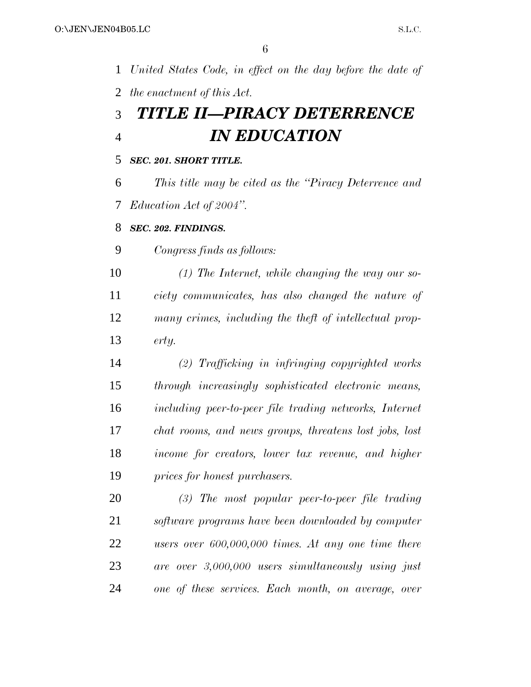*United States Code, in effect on the day before the date of the enactment of this Act. TITLE II—PIRACY DETERRENCE IN EDUCATION SEC. 201. SHORT TITLE. This title may be cited as the ''Piracy Deterrence and Education Act of 2004''. SEC. 202. FINDINGS. Congress finds as follows: (1) The Internet, while changing the way our so- ciety communicates, has also changed the nature of many crimes, including the theft of intellectual prop- erty. (2) Trafficking in infringing copyrighted works through increasingly sophisticated electronic means, including peer-to-peer file trading networks, Internet chat rooms, and news groups, threatens lost jobs, lost income for creators, lower tax revenue, and higher prices for honest purchasers. (3) The most popular peer-to-peer file trading software programs have been downloaded by computer users over 600,000,000 times. At any one time there are over 3,000,000 users simultaneously using just one of these services. Each month, on average, over*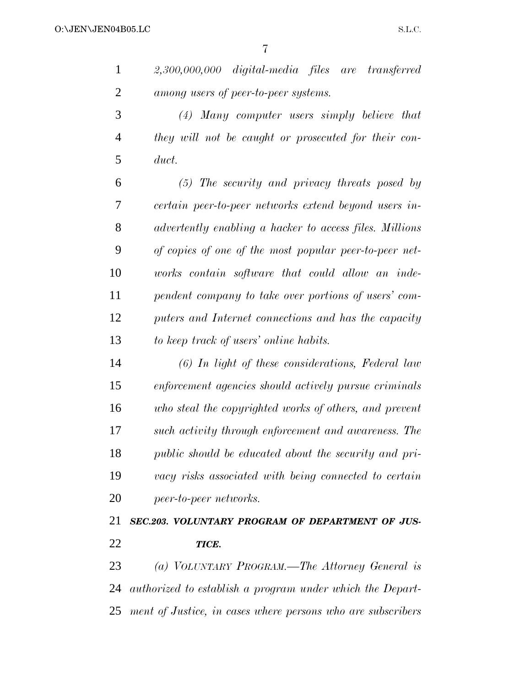*2,300,000,000 digital-media files are transferred among users of peer-to-peer systems.*

 *(4) Many computer users simply believe that they will not be caught or prosecuted for their con-duct.*

 *(5) The security and privacy threats posed by certain peer-to-peer networks extend beyond users in- advertently enabling a hacker to access files. Millions of copies of one of the most popular peer-to-peer net- works contain software that could allow an inde- pendent company to take over portions of users' com- puters and Internet connections and has the capacity to keep track of users' online habits.*

 *(6) In light of these considerations, Federal law enforcement agencies should actively pursue criminals who steal the copyrighted works of others, and prevent such activity through enforcement and awareness. The public should be educated about the security and pri- vacy risks associated with being connected to certain peer-to-peer networks.*

 *SEC.203. VOLUNTARY PROGRAM OF DEPARTMENT OF JUS-TICE.*

 *(a) VOLUNTARY PROGRAM.—The Attorney General is authorized to establish a program under which the Depart-ment of Justice, in cases where persons who are subscribers*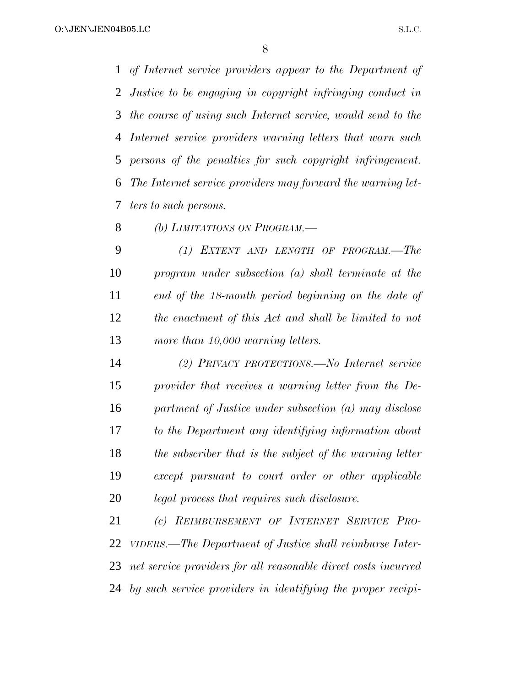*of Internet service providers appear to the Department of Justice to be engaging in copyright infringing conduct in the course of using such Internet service, would send to the Internet service providers warning letters that warn such persons of the penalties for such copyright infringement. The Internet service providers may forward the warning let-ters to such persons.*

*(b) LIMITATIONS ON PROGRAM.—*

 *(1) EXTENT AND LENGTH OF PROGRAM.—The program under subsection (a) shall terminate at the end of the 18-month period beginning on the date of the enactment of this Act and shall be limited to not more than 10,000 warning letters.*

 *(2) PRIVACY PROTECTIONS.—No Internet service provider that receives a warning letter from the De- partment of Justice under subsection (a) may disclose to the Department any identifying information about the subscriber that is the subject of the warning letter except pursuant to court order or other applicable legal process that requires such disclosure.*

 *(c) REIMBURSEMENT OF INTERNET SERVICE PRO- VIDERS.—The Department of Justice shall reimburse Inter- net service providers for all reasonable direct costs incurred by such service providers in identifying the proper recipi-*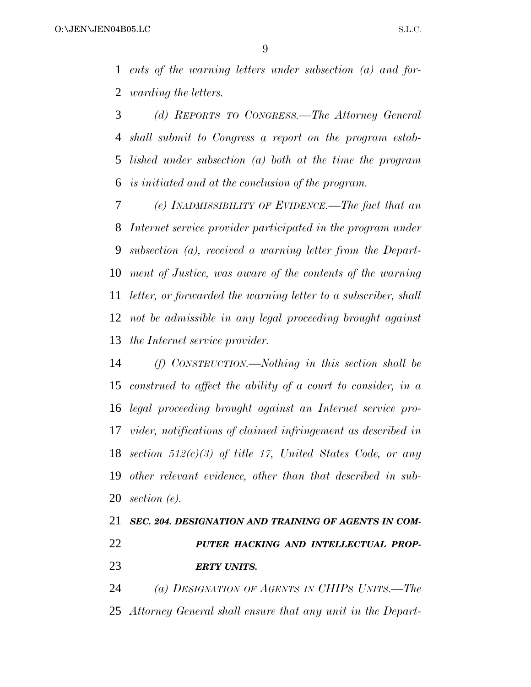*ents of the warning letters under subsection (a) and for-warding the letters.*

 *(d) REPORTS TO CONGRESS.—The Attorney General shall submit to Congress a report on the program estab- lished under subsection (a) both at the time the program is initiated and at the conclusion of the program.*

 *(e) INADMISSIBILITY OF EVIDENCE.—The fact that an Internet service provider participated in the program under subsection (a), received a warning letter from the Depart- ment of Justice, was aware of the contents of the warning letter, or forwarded the warning letter to a subscriber, shall not be admissible in any legal proceeding brought against the Internet service provider.*

 *(f) CONSTRUCTION.—Nothing in this section shall be construed to affect the ability of a court to consider, in a legal proceeding brought against an Internet service pro- vider, notifications of claimed infringement as described in section 512(c)(3) of title 17, United States Code, or any other relevant evidence, other than that described in sub-section (e).*

### *SEC. 204. DESIGNATION AND TRAINING OF AGENTS IN COM- PUTER HACKING AND INTELLECTUAL PROP-ERTY UNITS.*

 *(a) DESIGNATION OF AGENTS IN CHIPS UNITS.—The Attorney General shall ensure that any unit in the Depart-*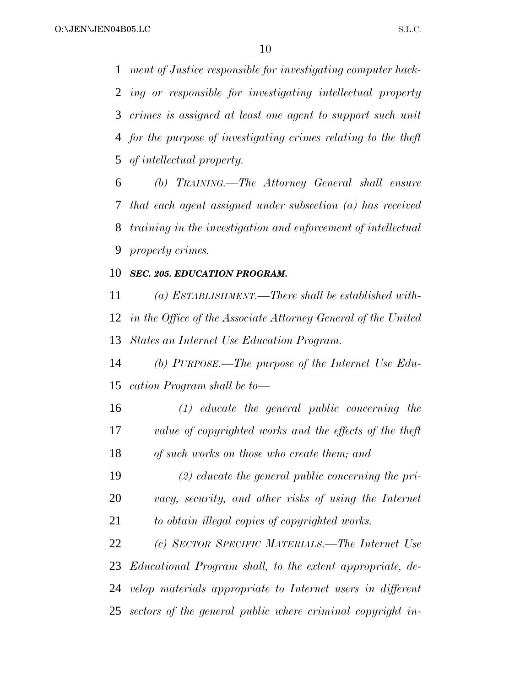*ment of Justice responsible for investigating computer hack- ing or responsible for investigating intellectual property crimes is assigned at least one agent to support such unit for the purpose of investigating crimes relating to the theft of intellectual property.*

 *(b) TRAINING.—The Attorney General shall ensure that each agent assigned under subsection (a) has received training in the investigation and enforcement of intellectual property crimes.*

#### *SEC. 205. EDUCATION PROGRAM.*

 *(a) ESTABLISHMENT.—There shall be established with- in the Office of the Associate Attorney General of the United States an Internet Use Education Program.*

 *(b) PURPOSE.—The purpose of the Internet Use Edu-cation Program shall be to—*

 *(1) educate the general public concerning the value of copyrighted works and the effects of the theft of such works on those who create them; and*

 *(2) educate the general public concerning the pri- vacy, security, and other risks of using the Internet to obtain illegal copies of copyrighted works.*

 *(c) SECTOR SPECIFIC MATERIALS.—The Internet Use Educational Program shall, to the extent appropriate, de- velop materials appropriate to Internet users in different sectors of the general public where criminal copyright in-*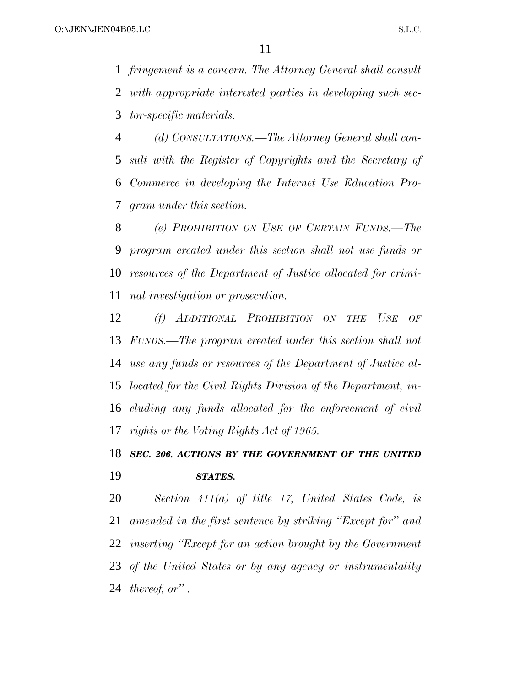*fringement is a concern. The Attorney General shall consult with appropriate interested parties in developing such sec-tor-specific materials.*

 *(d) CONSULTATIONS.—The Attorney General shall con- sult with the Register of Copyrights and the Secretary of Commerce in developing the Internet Use Education Pro-gram under this section.*

 *(e) PROHIBITION ON USE OF CERTAIN FUNDS.—The program created under this section shall not use funds or resources of the Department of Justice allocated for crimi-nal investigation or prosecution.*

 *(f) ADDITIONAL PROHIBITION ON THE USE OF FUNDS.—The program created under this section shall not use any funds or resources of the Department of Justice al- located for the Civil Rights Division of the Department, in- cluding any funds allocated for the enforcement of civil rights or the Voting Rights Act of 1965.*

### *SEC. 206. ACTIONS BY THE GOVERNMENT OF THE UNITED STATES.*

 *Section 411(a) of title 17, United States Code, is amended in the first sentence by striking ''Except for'' and inserting ''Except for an action brought by the Government of the United States or by any agency or instrumentality thereof, or'' .*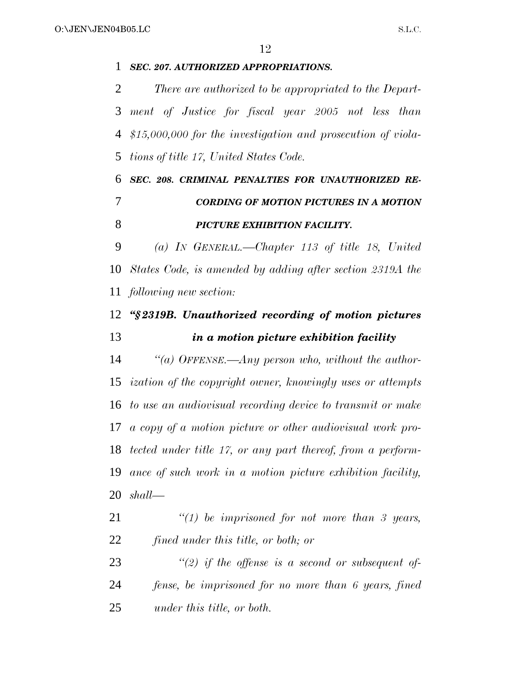*SEC. 207. AUTHORIZED APPROPRIATIONS. There are authorized to be appropriated to the Depart- ment of Justice for fiscal year 2005 not less than \$15,000,000 for the investigation and prosecution of viola- tions of title 17, United States Code. SEC. 208. CRIMINAL PENALTIES FOR UNAUTHORIZED RE- CORDING OF MOTION PICTURES IN A MOTION PICTURE EXHIBITION FACILITY. (a) IN GENERAL.—Chapter 113 of title 18, United States Code, is amended by adding after section 2319A the following new section: ''§ 2319B. Unauthorized recording of motion pictures in a motion picture exhibition facility ''(a) OFFENSE.—Any person who, without the author- ization of the copyright owner, knowingly uses or attempts to use an audiovisual recording device to transmit or make a copy of a motion picture or other audiovisual work pro- tected under title 17, or any part thereof, from a perform- ance of such work in a motion picture exhibition facility, shall— ''(1) be imprisoned for not more than 3 years, fined under this title, or both; or ''(2) if the offense is a second or subsequent of- fense, be imprisoned for no more than 6 years, fined under this title, or both.*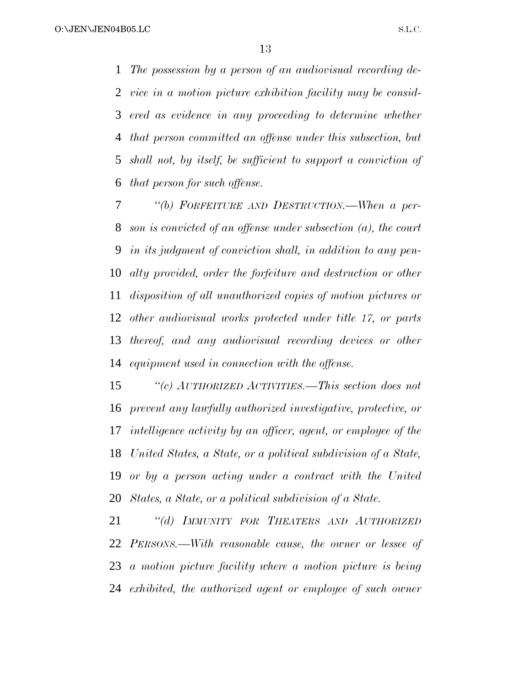*The possession by a person of an audiovisual recording de- vice in a motion picture exhibition facility may be consid- ered as evidence in any proceeding to determine whether that person committed an offense under this subsection, but shall not, by itself, be sufficient to support a conviction of that person for such offense.*

 *''(b) FORFEITURE AND DESTRUCTION.—When a per- son is convicted of an offense under subsection (a), the court in its judgment of conviction shall, in addition to any pen- alty provided, order the forfeiture and destruction or other disposition of all unauthorized copies of motion pictures or other audiovisual works protected under title 17, or parts thereof, and any audiovisual recording devices or other equipment used in connection with the offense.*

 *''(c) AUTHORIZED ACTIVITIES.—This section does not prevent any lawfully authorized investigative, protective, or intelligence activity by an officer, agent, or employee of the United States, a State, or a political subdivision of a State, or by a person acting under a contract with the United States, a State, or a political subdivision of a State.*

 *''(d) IMMUNITY FOR THEATERS AND AUTHORIZED PERSONS.—With reasonable cause, the owner or lessee of a motion picture facility where a motion picture is being exhibited, the authorized agent or employee of such owner*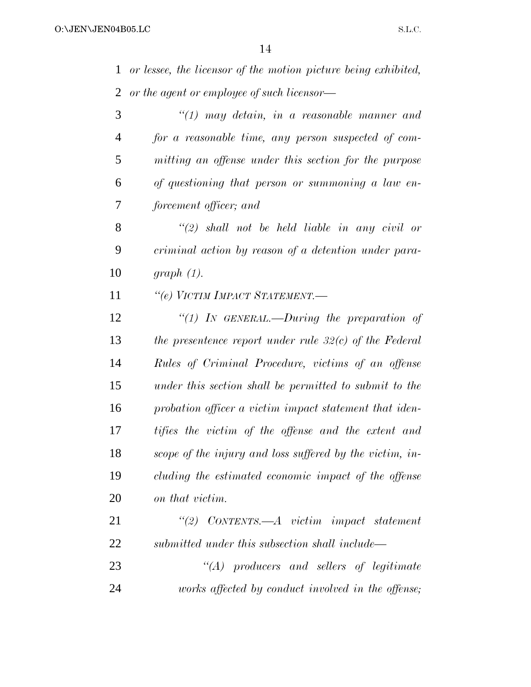*or lessee, the licensor of the motion picture being exhibited, or the agent or employee of such licensor— ''(1) may detain, in a reasonable manner and*

 *for a reasonable time, any person suspected of com- mitting an offense under this section for the purpose of questioning that person or summoning a law en-forcement officer; and*

 *''(2) shall not be held liable in any civil or criminal action by reason of a detention under para-graph (1).*

*''(e) VICTIM IMPACT STATEMENT.—*

 *''(1) IN GENERAL.—During the preparation of the presentence report under rule 32(c) of the Federal Rules of Criminal Procedure, victims of an offense under this section shall be permitted to submit to the probation officer a victim impact statement that iden- tifies the victim of the offense and the extent and scope of the injury and loss suffered by the victim, in- cluding the estimated economic impact of the offense on that victim.*

| 21 | $\lq(2)$ CONTENTS.—A victim impact statement     |
|----|--------------------------------------------------|
| 22 | submitted under this subsection shall include—   |
| 23 | $\lq\lq (A)$ producers and sellers of legitimate |

*works affected by conduct involved in the offense;*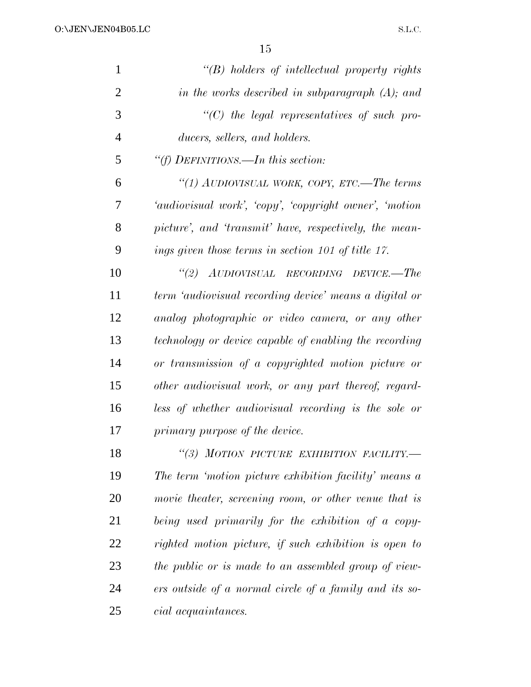| $\mathbf{1}$   | $\lq\lq(B)$ holders of intellectual property rights    |
|----------------|--------------------------------------------------------|
| $\overline{2}$ | in the works described in subparagraph $(A)$ ; and     |
| 3              | $\lq\lq C$ the legal representatives of such pro-      |
| 4              | ducers, sellers, and holders.                          |
| 5              | "(f) DEFINITIONS.—In this section:                     |
| 6              | "(1) AUDIOVISUAL WORK, COPY, ETC.—The terms            |
| 7              | 'audiovisual work', 'copy', 'copyright owner', 'motion |
| 8              | picture', and 'transmit' have, respectively, the mean- |
| 9              | ings given those terms in section 101 of title 17.     |
| 10             | "(2) AUDIOVISUAL RECORDING DEVICE.—The                 |
| 11             | term 'audiovisual recording device' means a digital or |
| 12             | analog photographic or video camera, or any other      |
| 13             | technology or device capable of enabling the recording |
| 14             | or transmission of a copyrighted motion picture or     |
| 15             | other audiovisual work, or any part thereof, regard-   |
| 16             | less of whether audiovisual recording is the sole or   |
| 17             | primary purpose of the device.                         |
| 18             | "(3) MOTION PICTURE EXHIBITION FACILITY.-              |
| 19             | The term 'motion picture exhibition facility' means a  |
| 20             | movie theater, screening room, or other venue that is  |
| 21             | being used primarily for the exhibition of a copy-     |
| 22             | righted motion picture, if such exhibition is open to  |
| 23             | the public or is made to an assembled group of view-   |
| 24             | ers outside of a normal circle of a family and its so- |
| 25             | <i>cial acquaintances.</i>                             |
|                |                                                        |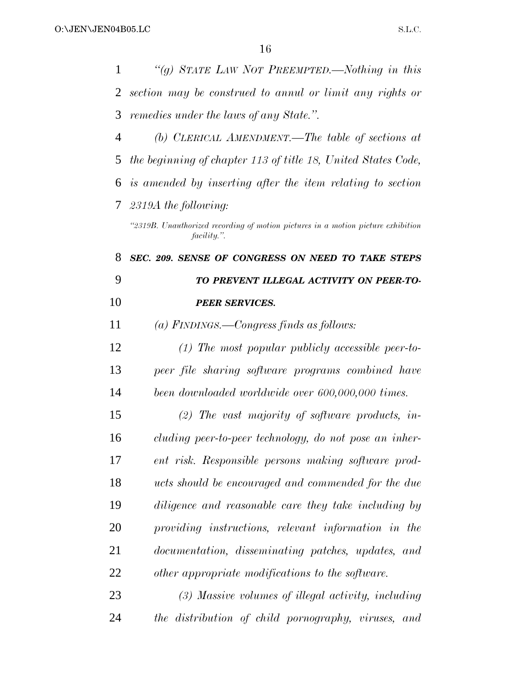| 1              | "(g) STATE LAW NOT PREEMPTED.—Nothing in this                                                   |
|----------------|-------------------------------------------------------------------------------------------------|
| 2              | section may be construed to annul or limit any rights or                                        |
| 3              | remedies under the laws of any State.".                                                         |
| $\overline{4}$ | (b) CLERICAL AMENDMENT.—The table of sections at                                                |
| 5              | the beginning of chapter 113 of title 18, United States Code,                                   |
| 6              | is amended by inserting after the item relating to section                                      |
| 7              | $2319A$ the following:                                                                          |
|                | "2319B. Unauthorized recording of motion pictures in a motion picture exhibition<br>facility.". |
| 8              | SEC. 209. SENSE OF CONGRESS ON NEED TO TAKE STEPS                                               |
| 9              | TO PREVENT ILLEGAL ACTIVITY ON PEER-TO-                                                         |
| 10             | <b>PEER SERVICES.</b>                                                                           |
| 11             | $(a)$ FINDINGS.—Congress finds as follows:                                                      |
| 12             | $(1)$ The most popular publicly accessible peer-to-                                             |
| 13             | peer file sharing software programs combined have                                               |
| 14             | been downloaded worldwide over 600,000,000 times.                                               |
| 15             | $(2)$ The vast majority of software products, in-                                               |
| 16             | cluding peer-to-peer technology, do not pose an inher-                                          |
| 17             | ent risk. Responsible persons making software prod-                                             |
| 18             | ucts should be encouraged and commended for the due                                             |
| 19             | diligence and reasonable care they take including by                                            |
| 20             | providing instructions, relevant information in the                                             |
| 21             | documentation, disseminating patches, updates, and                                              |
| 22             | other appropriate modifications to the software.                                                |
| 23             | (3) Massive volumes of illegal activity, including                                              |
| 24             | the distribution of child pornography, viruses, and                                             |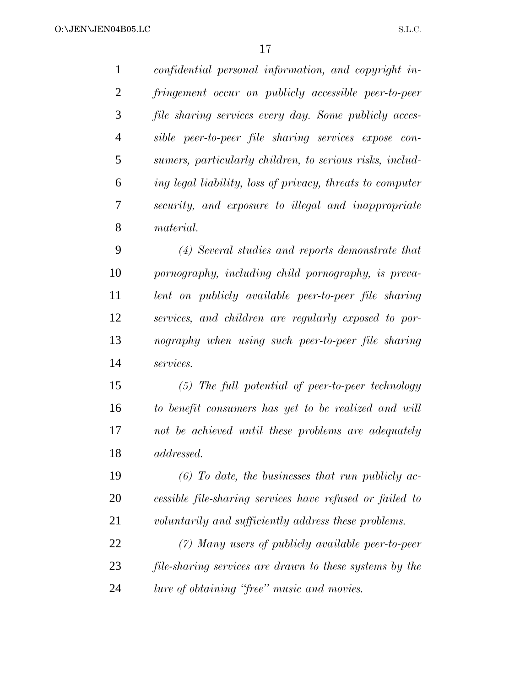*confidential personal information, and copyright in- fringement occur on publicly accessible peer-to-peer file sharing services every day. Some publicly acces- sible peer-to-peer file sharing services expose con- sumers, particularly children, to serious risks, includ- ing legal liability, loss of privacy, threats to computer security, and exposure to illegal and inappropriate material. (4) Several studies and reports demonstrate that pornography, including child pornography, is preva- lent on publicly available peer-to-peer file sharing services, and children are regularly exposed to por- nography when using such peer-to-peer file sharing services. (5) The full potential of peer-to-peer technology to benefit consumers has yet to be realized and will not be achieved until these problems are adequately addressed.*

 *(6) To date, the businesses that run publicly ac- cessible file-sharing services have refused or failed to voluntarily and sufficiently address these problems.*

 *(7) Many users of publicly available peer-to-peer file-sharing services are drawn to these systems by the lure of obtaining ''free'' music and movies.*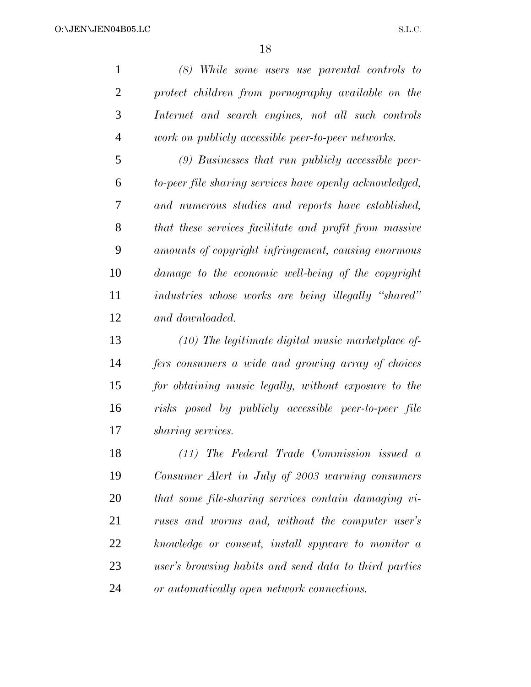*(8) While some users use parental controls to protect children from pornography available on the Internet and search engines, not all such controls work on publicly accessible peer-to-peer networks.*

 *(9) Businesses that run publicly accessible peer- to-peer file sharing services have openly acknowledged, and numerous studies and reports have established, that these services facilitate and profit from massive amounts of copyright infringement, causing enormous damage to the economic well-being of the copyright industries whose works are being illegally ''shared'' and downloaded.*

 *(10) The legitimate digital music marketplace of- fers consumers a wide and growing array of choices for obtaining music legally, without exposure to the risks posed by publicly accessible peer-to-peer file sharing services.*

 *(11) The Federal Trade Commission issued a Consumer Alert in July of 2003 warning consumers that some file-sharing services contain damaging vi- ruses and worms and, without the computer user's knowledge or consent, install spyware to monitor a user's browsing habits and send data to third parties or automatically open network connections.*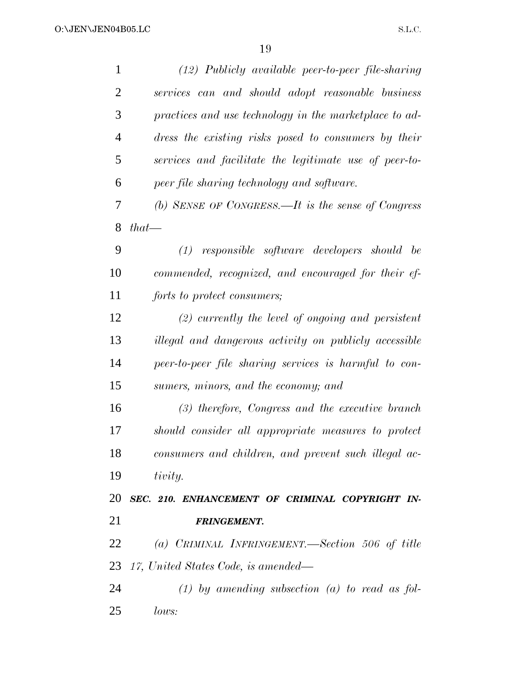| $\mathbf{1}$   | $(12)$ Publicly available peer-to-peer file-sharing    |
|----------------|--------------------------------------------------------|
| $\overline{2}$ | services can and should adopt reasonable business      |
| 3              | practices and use technology in the marketplace to ad- |
| 4              | dress the existing risks posed to consumers by their   |
| 5              | services and facilitate the legitimate use of peer-to- |
| 6              | peer file sharing technology and software.             |
| 7              | (b) SENSE OF CONGRESS.—It is the sense of Congress     |
| 8              | $that-$                                                |
| 9              | $(1)$ responsible software developers should be        |
| 10             | commended, recognized, and encouraged for their ef-    |
| 11             | forts to protect consumers;                            |
| 12             | $(2)$ currently the level of ongoing and persistent    |
| 13             | illegal and dangerous activity on publicly accessible  |
| 14             | peer-to-peer file sharing services is harmful to con-  |
| 15             | sumers, minors, and the economy; and                   |
| 16             | $(3)$ therefore, Congress and the executive branch     |
| 17             | should consider all appropriate measures to protect    |
| 18             | consumers and children, and prevent such illegal ac-   |
| 19             | tivity.                                                |
| 20             | SEC. 210. ENHANCEMENT OF CRIMINAL COPYRIGHT IN-        |
| 21             | <b>FRINGEMENT.</b>                                     |
| 22             | (a) CRIMINAL INFRINGEMENT.—Section 506 of title        |
| 23             | 17, United States Code, is amended—                    |
| 24             | $(1)$ by amending subsection $(a)$ to read as fol-     |
| 25             | lows:                                                  |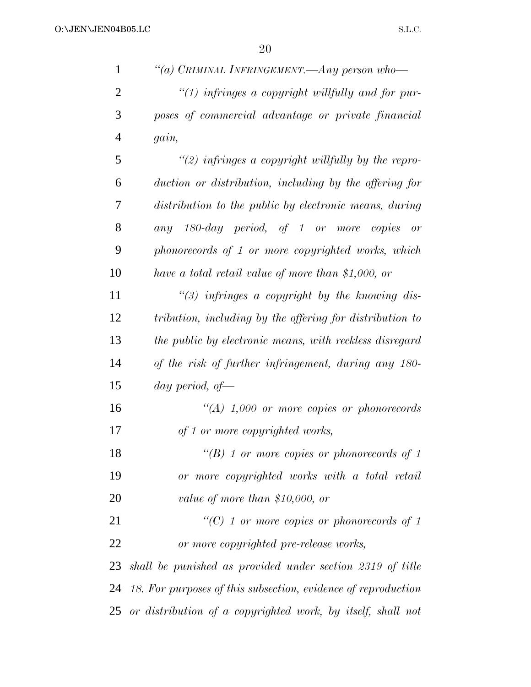*''(a) CRIMINAL INFRINGEMENT.—Any person who— ''(1) infringes a copyright willfully and for pur- poses of commercial advantage or private financial gain, ''(2) infringes a copyright willfully by the repro- duction or distribution, including by the offering for distribution to the public by electronic means, during any 180-day period, of 1 or more copies or phonorecords of 1 or more copyrighted works, which have a total retail value of more than \$1,000, or ''(3) infringes a copyright by the knowing dis- tribution, including by the offering for distribution to the public by electronic means, with reckless disregard of the risk of further infringement, during any 180- day period, of— ''(A) 1,000 or more copies or phonorecords of 1 or more copyrighted works, ''(B) 1 or more copies or phonorecords of 1 or more copyrighted works with a total retail value of more than \$10,000, or ''(C) 1 or more copies or phonorecords of 1 or more copyrighted pre-release works, shall be punished as provided under section 2319 of title 18. For purposes of this subsection, evidence of reproduction*

*or distribution of a copyrighted work, by itself, shall not*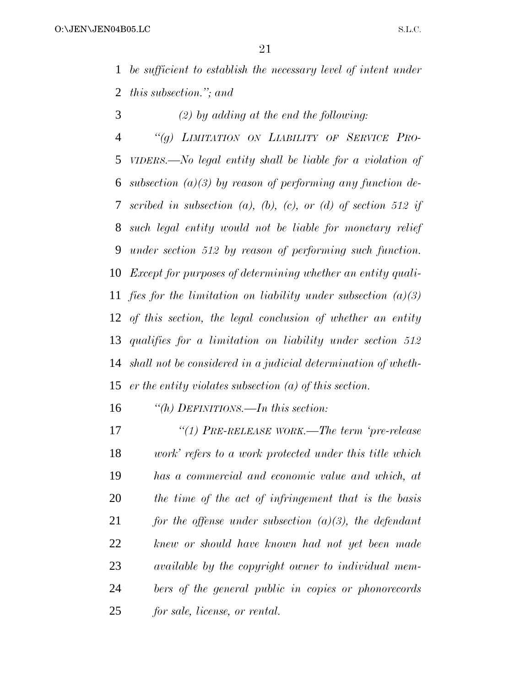*be sufficient to establish the necessary level of intent under this subsection.''; and*

*(2) by adding at the end the following:*

 *''(g) LIMITATION ON LIABILITY OF SERVICE PRO- VIDERS.—No legal entity shall be liable for a violation of subsection (a)(3) by reason of performing any function de- scribed in subsection (a), (b), (c), or (d) of section 512 if such legal entity would not be liable for monetary relief under section 512 by reason of performing such function. Except for purposes of determining whether an entity quali- fies for the limitation on liability under subsection (a)(3) of this section, the legal conclusion of whether an entity qualifies for a limitation on liability under section 512 shall not be considered in a judicial determination of wheth-er the entity violates subsection (a) of this section.*

*''(h) DEFINITIONS.—In this section:*

 *''(1) PRE-RELEASE WORK.—The term 'pre-release work' refers to a work protected under this title which has a commercial and economic value and which, at the time of the act of infringement that is the basis for the offense under subsection (a)(3), the defendant knew or should have known had not yet been made available by the copyright owner to individual mem- bers of the general public in copies or phonorecords for sale, license, or rental.*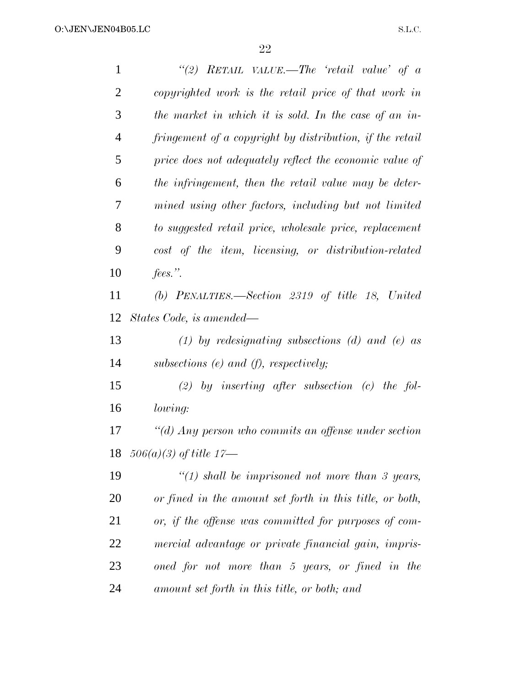| $\mathbf{1}$   | "(2) RETAIL VALUE.—The 'retail value' of a               |
|----------------|----------------------------------------------------------|
| $\overline{2}$ | copyrighted work is the retail price of that work in     |
| 3              | the market in which it is sold. In the case of an in-    |
| $\overline{4}$ | fringement of a copyright by distribution, if the retail |
| 5              | price does not adequately reflect the economic value of  |
| 6              | the infringement, then the retail value may be deter-    |
| $\overline{7}$ | mined using other factors, including but not limited     |
| 8              | to suggested retail price, wholesale price, replacement  |
| 9              | cost of the item, licensing, or distribution-related     |
| 10             | fees.".                                                  |
| 11             | (b) PENALTIES.—Section $2319$ of title 18, United        |
| 12             | States Code, is amended—                                 |
| 13             | (1) by redesignating subsections (d) and (e) as          |
| 14             | subsections $(e)$ and $(f)$ , respectively;              |
| 15             | $(2)$ by inserting after subsection $(c)$ the fol-       |
| 16             | lowing:                                                  |
| 17             | "(d) Any person who commits an offense under section     |
|                | 18 $506(a)(3)$ of title 17—                              |
| 19             | " $(1)$ shall be imprisoned not more than 3 years,       |
| 20             | or fined in the amount set forth in this title, or both, |
| 21             | or, if the offense was committed for purposes of com-    |
| 22             | mercial advantage or private financial gain, impris-     |
| 23             | oned for not more than 5 years, or fined in the          |
| 24             | amount set forth in this title, or both; and             |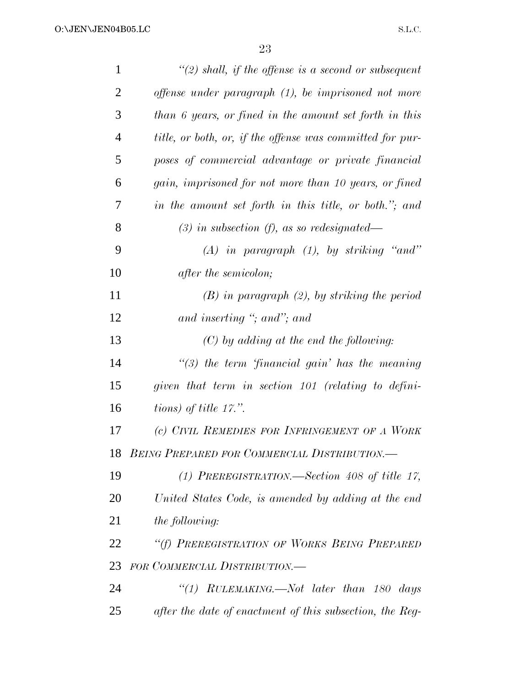| $\mathbf{1}$   | "(2) shall, if the offense is a second or subsequent      |
|----------------|-----------------------------------------------------------|
| $\overline{2}$ | offense under paragraph (1), be imprisoned not more       |
| 3              | than 6 years, or fined in the amount set forth in this    |
| $\overline{4}$ | title, or both, or, if the offense was committed for pur- |
| 5              | poses of commercial advantage or private financial        |
| 6              | gain, imprisoned for not more than 10 years, or fined     |
| 7              | in the amount set forth in this title, or both."; and     |
| 8              | $(3)$ in subsection (f), as so redesignated—              |
| 9              | $(A)$ in paragraph $(1)$ , by striking "and"              |
| 10             | <i>after the semicolon;</i>                               |
| 11             | $(B)$ in paragraph $(2)$ , by striking the period         |
| 12             | and inserting "; and"; and                                |
| 13             | $(C)$ by adding at the end the following:                 |
| 14             | $\lq(3)$ the term financial gain' has the meaning         |
| 15             | given that term in section 101 (relating to defini-       |
| 16             | tions) of title $17$ .".                                  |
| 17             | (c) CIVIL REMEDIES FOR INFRINGEMENT OF A WORK             |
| 18             | <b>BEING PREPARED FOR COMMERCIAL DISTRIBUTION.</b>        |
| 19             | (1) PREREGISTRATION.—Section 408 of title 17,             |
| 20             | United States Code, is amended by adding at the end       |
| 21             | the following:                                            |
| 22             | "(f) PREREGISTRATION OF WORKS BEING PREPARED              |
| 23             | FOR COMMERCIAL DISTRIBUTION.—                             |
| 24             | "(1) $RULEMAXING$ . Not later than 180 days               |
| 25             | after the date of enactment of this subsection, the Reg-  |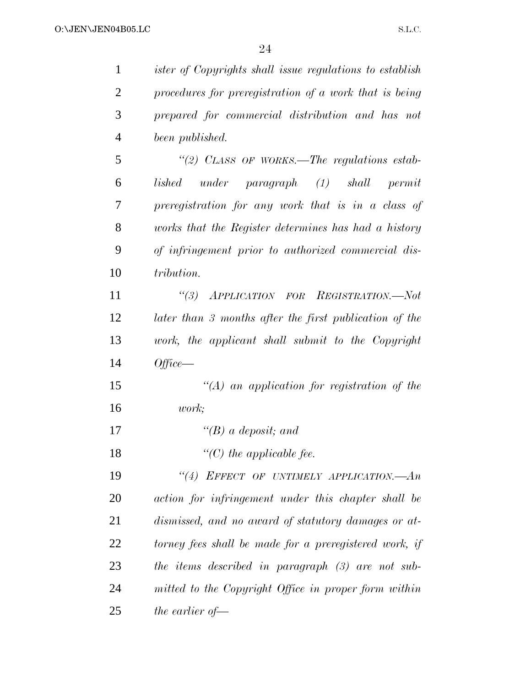| $\mathbf{1}$   | <i>ister of Copyrights shall issue regulations to establish</i>    |
|----------------|--------------------------------------------------------------------|
| $\overline{2}$ | procedures for preregistration of a work that is being             |
| 3              | prepared for commercial distribution and has not                   |
| $\overline{4}$ | been published.                                                    |
| 5              | "(2) CLASS OF WORKS.—The regulations estab-                        |
| 6              | $under \tparrow paragraph \tbinom{1}{3}$ shall<br>lished<br>permit |
| 7              | preregistration for any work that is in a class of                 |
| 8              | works that the Register determines has had a history               |
| 9              | of infringement prior to authorized commercial dis-                |
| 10             | tribution.                                                         |
| 11             | $\frac{1}{3}$<br>APPLICATION FOR REGISTRATION.-Not                 |
| 12             | later than 3 months after the first publication of the             |
| 13             | work, the applicant shall submit to the Copyright                  |
| 14             | $Office-$                                                          |
| 15             | $\lq (A)$ an application for registration of the                   |
| 16             | <i>work</i> ;                                                      |
| 17             | "(B) a deposit; and                                                |
| 18             | $\lq\lq C$ the applicable fee.                                     |
| 19             | "(4) EFFECT OF UNTIMELY APPLICATION.- An                           |
| 20             | action for infringement under this chapter shall be                |
| 21             | dismissed, and no award of statutory damages or at-                |
| 22             | torney fees shall be made for a preregistered work, if             |
| 23             | the items described in paragraph $(3)$ are not sub-                |
| 24             | mitted to the Copyright Office in proper form within               |
| 25             | the earlier of $-$                                                 |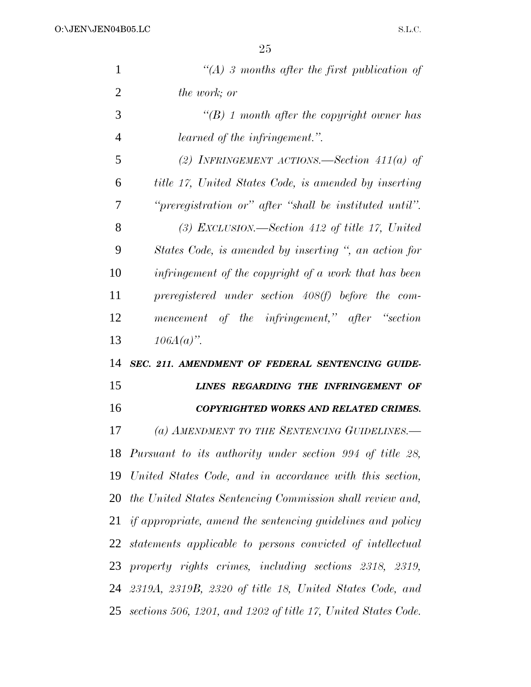| $\mathbf{1}$   | "(A) 3 months after the first publication of                     |
|----------------|------------------------------------------------------------------|
| $\overline{2}$ | <i>the work; or</i>                                              |
| 3              | $\lq (B)$ 1 month after the copyright owner has                  |
| 4              | learned of the infringement.".                                   |
| 5              | (2) INFRINGEMENT ACTIONS.—Section $411(a)$ of                    |
| 6              | title 17, United States Code, is amended by inserting            |
| 7              | "preregistration or" after "shall be instituted until".          |
| 8              | (3) EXCLUSION.—Section 412 of title 17, United                   |
| 9              | States Code, is amended by inserting ", an action for            |
| 10             | infringement of the copyright of a work that has been            |
| 11             | preregistered under section 408(f) before the com-               |
| 12             | mencement of the infringement," after "section                   |
| 13             | $106A(a)$ ".                                                     |
| 14             | SEC. 211. AMENDMENT OF FEDERAL SENTENCING GUIDE-                 |
| 15             | LINES REGARDING THE INFRINGEMENT OF                              |
| 16             | COPYRIGHTED WORKS AND RELATED CRIMES.                            |
| 17             | (a) AMENDMENT TO THE SENTENCING GUIDELINES.-                     |
|                | 18 Pursuant to its authority under section 994 of title 28,      |
|                | 19 United States Code, and in accordance with this section,      |
|                | 20 the United States Sentencing Commission shall review and,     |
|                | 21 if appropriate, amend the sentencing guidelines and policy    |
|                | 22 statements applicable to persons convicted of intellectual    |
| 23             | property rights crimes, including sections 2318, 2319,           |
|                | 24 2319A, 2319B, 2320 of title 18, United States Code, and       |
|                | 25 sections 506, 1201, and 1202 of title 17, United States Code. |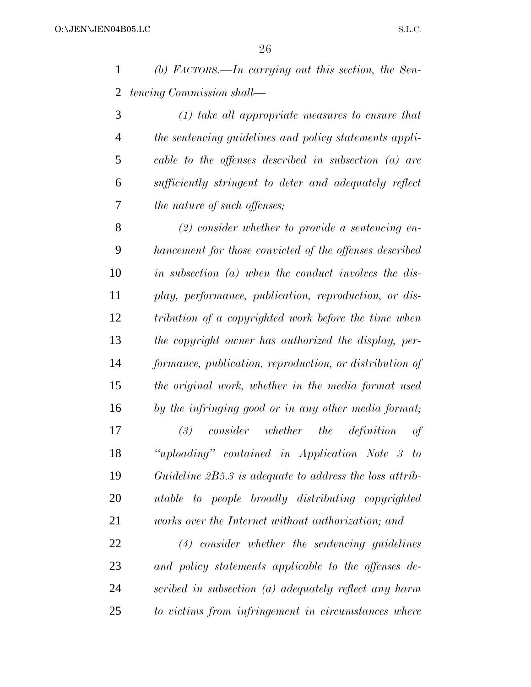*(b) FACTORS.—In carrying out this section, the Sen-tencing Commission shall—*

 *(1) take all appropriate measures to ensure that the sentencing guidelines and policy statements appli- cable to the offenses described in subsection (a) are sufficiently stringent to deter and adequately reflect the nature of such offenses;*

 *(2) consider whether to provide a sentencing en- hancement for those convicted of the offenses described in subsection (a) when the conduct involves the dis- play, performance, publication, reproduction, or dis- tribution of a copyrighted work before the time when the copyright owner has authorized the display, per- formance, publication, reproduction, or distribution of the original work, whether in the media format used by the infringing good or in any other media format; (3) consider whether the definition of ''uploading'' contained in Application Note 3 to Guideline 2B5.3 is adequate to address the loss attrib-utable to people broadly distributing copyrighted*

*works over the Internet without authorization; and*

 *(4) consider whether the sentencing guidelines and policy statements applicable to the offenses de- scribed in subsection (a) adequately reflect any harm to victims from infringement in circumstances where*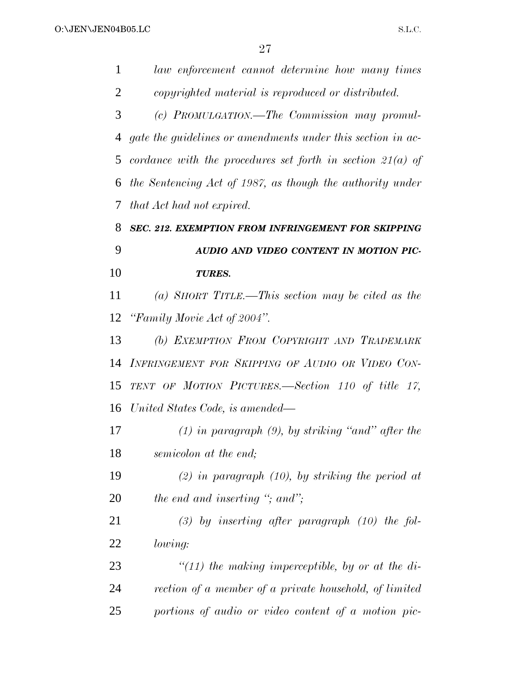| 1              | law enforcement cannot determine how many times              |
|----------------|--------------------------------------------------------------|
| $\overline{2}$ | copyrighted material is reproduced or distributed.           |
| 3              | (c) PROMULGATION.—The Commission may promul-                 |
| 4              | gate the guidelines or amendments under this section in ac-  |
| 5              | cordance with the procedures set forth in section $21(a)$ of |
| 6              | the Sentencing Act of 1987, as though the authority under    |
| 7              | that Act had not expired.                                    |
| 8              | SEC. 212. EXEMPTION FROM INFRINGEMENT FOR SKIPPING           |
| 9              | AUDIO AND VIDEO CONTENT IN MOTION PIC-                       |
| 10             | <b>TURES.</b>                                                |
| 11             | (a) SHORT TITLE.—This section may be cited as the            |
| 12             | "Family Movie Act of 2004".                                  |
| 13             | (b) EXEMPTION FROM COPYRIGHT AND TRADEMARK                   |
| 14             | INFRINGEMENT FOR SKIPPING OF AUDIO OR VIDEO CON-             |
| 15             | TENT OF MOTION PICTURES.-Section 110 of title 17,            |
| 16             | United States Code, is amended—                              |
| 17             | $(1)$ in paragraph $(9)$ , by striking "and" after the       |
| 18             | semicolon at the end;                                        |
| 19             | $(2)$ in paragraph $(10)$ , by striking the period at        |
| 20             | the end and inserting "; and";                               |
| 21             | $(3)$ by inserting after paragraph $(10)$ the fol-           |
| 22             | lowing:                                                      |
| 23             | $\lq(11)$ the making imperceptible, by or at the di-         |
| 24             | rection of a member of a private household, of limited       |
| 25             | portions of audio or video content of a motion pic-          |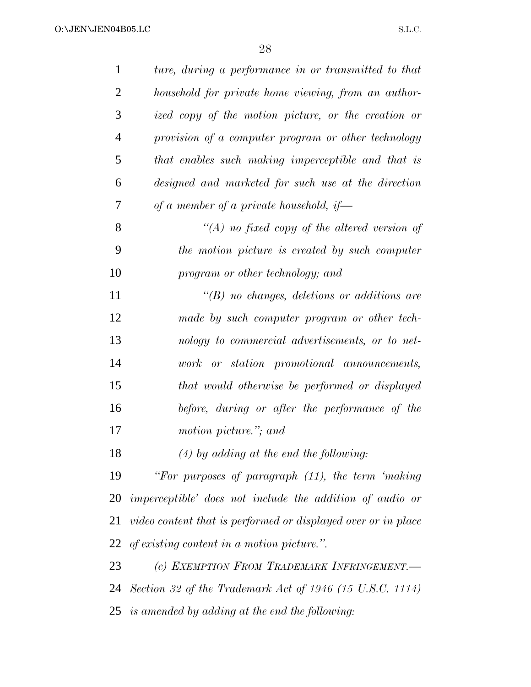| $\mathbf{1}$   | ture, during a performance in or transmitted to that            |
|----------------|-----------------------------------------------------------------|
| $\overline{2}$ | household for private home viewing, from an author-             |
| 3              | ized copy of the motion picture, or the creation or             |
| $\overline{4}$ | provision of a computer program or other technology             |
| 5              | that enables such making imperceptible and that is              |
| 6              | designed and marketed for such use at the direction             |
| 7              | of a member of a private household, if                          |
| 8              | "(A) no fixed copy of the altered version of                    |
| 9              | the motion picture is created by such computer                  |
| 10             | program or other technology; and                                |
| 11             | $\lq\lq(B)$ no changes, deletions or additions are              |
| 12             | made by such computer program or other tech-                    |
| 13             | nology to commercial advertisements, or to net-                 |
| 14             | work or station promotional announcements,                      |
| 15             | that would otherwise be performed or displayed                  |
| 16             | before, during or after the performance of the                  |
| 17             | motion picture."; and                                           |
| 18             | $(4)$ by adding at the end the following:                       |
| 19             | "For purposes of paragraph (11), the term 'making               |
| 20             | <i>imperceptible'</i> does not include the addition of audio or |
| 21             | video content that is performed or displayed over or in place   |
| 22             | of existing content in a motion picture.".                      |
| 23             | (c) EXEMPTION FROM TRADEMARK INFRINGEMENT.                      |
| 24             | Section 32 of the Trademark Act of 1946 (15 U.S.C. 1114)        |
|                | 25 is amended by adding at the end the following:               |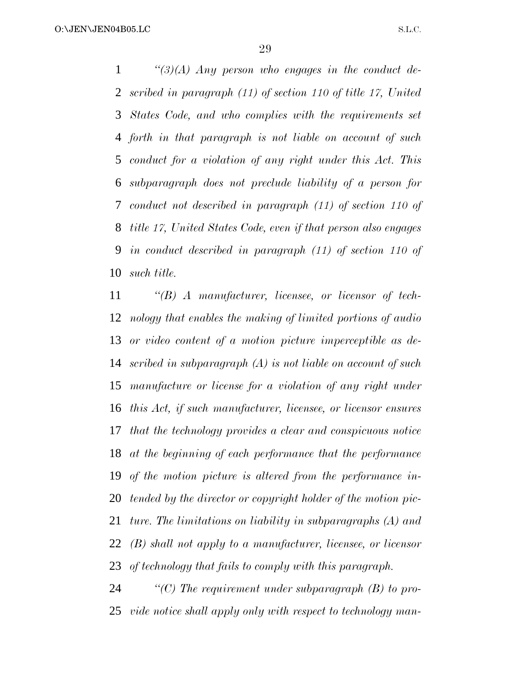*''(3)(A) Any person who engages in the conduct de- scribed in paragraph (11) of section 110 of title 17, United States Code, and who complies with the requirements set forth in that paragraph is not liable on account of such conduct for a violation of any right under this Act. This subparagraph does not preclude liability of a person for conduct not described in paragraph (11) of section 110 of title 17, United States Code, even if that person also engages in conduct described in paragraph (11) of section 110 of such title.*

 *''(B) A manufacturer, licensee, or licensor of tech- nology that enables the making of limited portions of audio or video content of a motion picture imperceptible as de- scribed in subparagraph (A) is not liable on account of such manufacture or license for a violation of any right under this Act, if such manufacturer, licensee, or licensor ensures that the technology provides a clear and conspicuous notice at the beginning of each performance that the performance of the motion picture is altered from the performance in- tended by the director or copyright holder of the motion pic- ture. The limitations on liability in subparagraphs (A) and (B) shall not apply to a manufacturer, licensee, or licensor of technology that fails to comply with this paragraph.*

 *''(C) The requirement under subparagraph (B) to pro-vide notice shall apply only with respect to technology man-*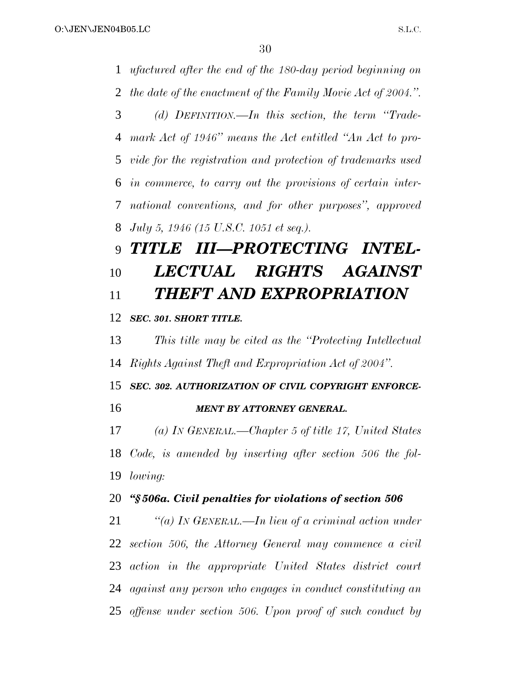*ufactured after the end of the 180-day period beginning on the date of the enactment of the Family Movie Act of 2004.''. (d) DEFINITION.—In this section, the term ''Trade- mark Act of 1946'' means the Act entitled ''An Act to pro- vide for the registration and protection of trademarks used in commerce, to carry out the provisions of certain inter- national conventions, and for other purposes'', approved July 5, 1946 (15 U.S.C. 1051 et seq.). TITLE III—PROTECTING INTEL- LECTUAL RIGHTS AGAINST THEFT AND EXPROPRIATION SEC. 301. SHORT TITLE. This title may be cited as the ''Protecting Intellectual Rights Against Theft and Expropriation Act of 2004''. SEC. 302. AUTHORIZATION OF CIVIL COPYRIGHT ENFORCE- MENT BY ATTORNEY GENERAL. (a) IN GENERAL.—Chapter 5 of title 17, United States Code, is amended by inserting after section 506 the fol- lowing: ''§ 506a. Civil penalties for violations of section 506 ''(a) IN GENERAL.—In lieu of a criminal action under section 506, the Attorney General may commence a civil action in the appropriate United States district court against any person who engages in conduct constituting an*

*offense under section 506. Upon proof of such conduct by*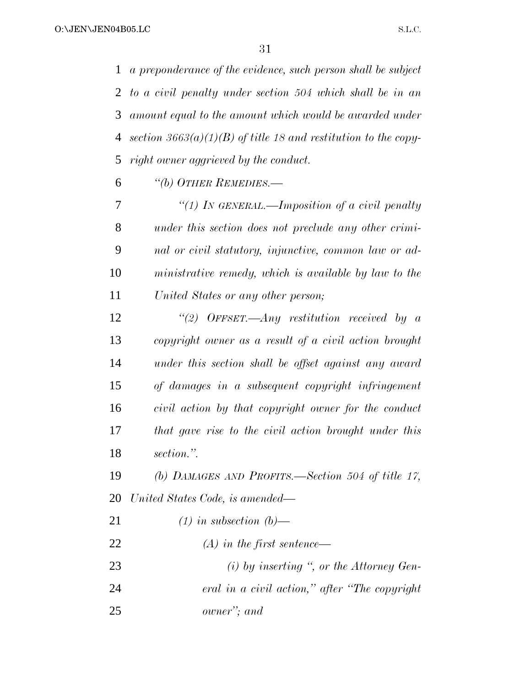*a preponderance of the evidence, such person shall be subject to a civil penalty under section 504 which shall be in an amount equal to the amount which would be awarded under section 3663(a)(1)(B) of title 18 and restitution to the copy-right owner aggrieved by the conduct.*

*''(b) OTHER REMEDIES.—*

 *''(1) IN GENERAL.—Imposition of a civil penalty under this section does not preclude any other crimi- nal or civil statutory, injunctive, common law or ad- ministrative remedy, which is available by law to the United States or any other person;*

 *''(2) OFFSET.—Any restitution received by a copyright owner as a result of a civil action brought under this section shall be offset against any award of damages in a subsequent copyright infringement civil action by that copyright owner for the conduct that gave rise to the civil action brought under this section.''.*

 *(b) DAMAGES AND PROFITS.—Section 504 of title 17, United States Code, is amended—*

- *(1) in subsection (b)—*
- *(A) in the first sentence—*

*(i) by inserting '', or the Attorney Gen-*

- *eral in a civil action,'' after ''The copyright*
- *owner''; and*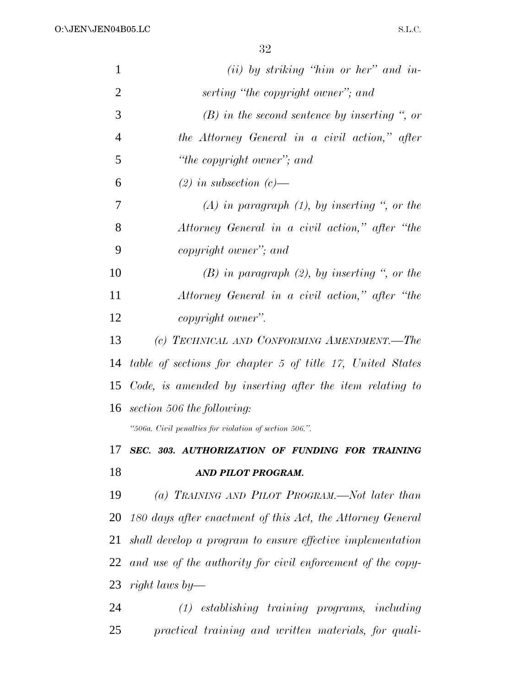O:\JEN\JEN04B05.LC

| $\mathbf{1}$   | $(ii)$ by striking "him or her" and in-                     |
|----------------|-------------------------------------------------------------|
| $\overline{2}$ | serting "the copyright owner"; and                          |
| 3              | $(B)$ in the second sentence by inserting ", or             |
| $\overline{4}$ | the Attorney General in a civil action," after              |
| 5              | "the copyright owner"; and                                  |
| 6              | $(2)$ in subsection $(c)$ —                                 |
| 7              | $(A)$ in paragraph $(1)$ , by inserting ", or the           |
| 8              | Attorney General in a civil action," after "the             |
| 9              | copyright owner"; and                                       |
| 10             | $(B)$ in paragraph $(2)$ , by inserting ", or the           |
| 11             | Attorney General in a civil action," after "the             |
| 12             | copyright owner".                                           |
| 13             | (c) TECHNICAL AND CONFORMING AMENDMENT.-The                 |
| 14             | table of sections for chapter 5 of title 17, United States  |
| 15             | Code, is amended by inserting after the item relating to    |
|                | 16 section 506 the following:                               |
|                | "506a. Civil penalties for violation of section 506.".      |
| 17             | SEC. 303. AUTHORIZATION OF FUNDING FOR TRAINING             |
| 18             | AND PILOT PROGRAM.                                          |
| 19             | (a) TRAINING AND PILOT PROGRAM.—Not later than              |
| 20             | 180 days after enactment of this Act, the Attorney General  |
| 21             | shall develop a program to ensure effective implementation  |
| 22             | and use of the authority for civil enforcement of the copy- |
|                | 23 right laws by—                                           |
| 24             | $(1)$ establishing training programs, including             |

*practical training and written materials, for quali-*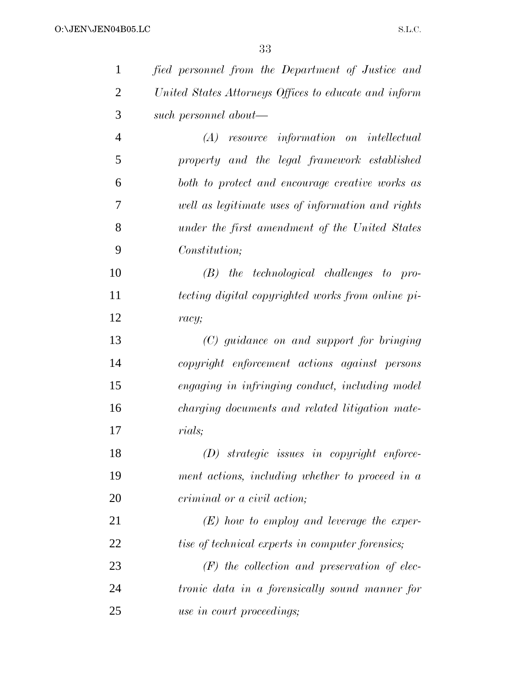| $\mathbf{1}$   | fied personnel from the Department of Justice and       |
|----------------|---------------------------------------------------------|
| $\overline{2}$ | United States Attorneys Offices to educate and inform   |
| 3              | such personnel about—                                   |
| $\overline{4}$ | $(A)$ resource information on intellectual              |
| 5              | property and the legal framework established            |
| 6              | both to protect and encourage creative works as         |
| 7              | well as legitimate uses of information and rights       |
| 8              | under the first amendment of the United States          |
| 9              | Constitution;                                           |
| 10             | $(B)$ the technological challenges to pro-              |
| 11             | tecting digital copyrighted works from online pi-       |
| 12             | racy;                                                   |
| 13             | (C) guidance on and support for bringing                |
| 14             | copyright enforcement actions against persons           |
| 15             | engaging in infringing conduct, including model         |
| 16             | charging documents and related litigation mate-         |
| 17             | rials;                                                  |
| 18             | $(D)$ strategic issues in copyright enforce-            |
| 19             | ment actions, including whether to proceed in a         |
| 20             | criminal or a civil action;                             |
| 21             | $(E)$ how to employ and leverage the exper-             |
| 22             | <i>tise of technical experts in computer forensics;</i> |
| 23             | $(F)$ the collection and preservation of elec-          |
| 24             | tronic data in a forensically sound manner for          |
| 25             | use in court proceedings;                               |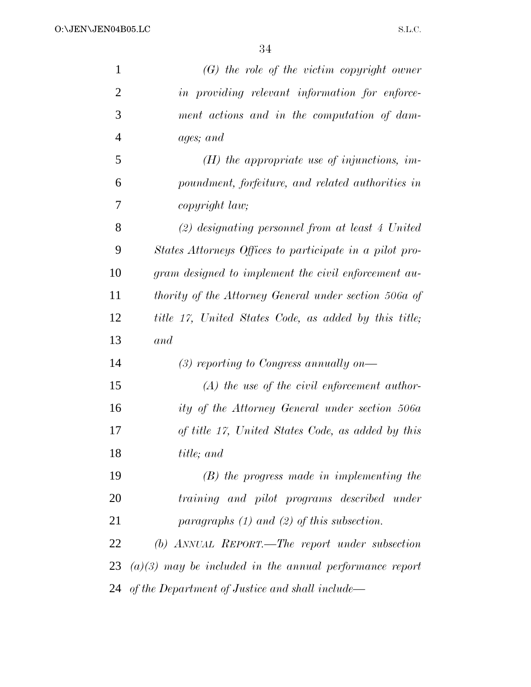| $\mathbf{1}$   | $(G)$ the role of the victim copyright owner              |
|----------------|-----------------------------------------------------------|
| $\overline{2}$ | in providing relevant information for enforce-            |
| 3              | ment actions and in the computation of dam-               |
| $\overline{4}$ | ages; and                                                 |
| 5              | $(H)$ the appropriate use of injunctions, im-             |
| 6              | poundment, forfeiture, and related authorities in         |
| 7              | copyright law;                                            |
| 8              | $(2)$ designating personnel from at least 4 United        |
| 9              | States Attorneys Offices to participate in a pilot pro-   |
| 10             | gram designed to implement the civil enforcement au-      |
| 11             | thority of the Attorney General under section 506a of     |
| 12             | title 17, United States Code, as added by this title;     |
| 13             | and                                                       |
| 14             | $(3)$ reporting to Congress annually on—                  |
| 15             | $(A)$ the use of the civil enforcement author-            |
| 16             | ity of the Attorney General under section 506a            |
| 17             | of title 17, United States Code, as added by this         |
| 18             | title; and                                                |
| 19             | $(B)$ the progress made in implementing the               |
| 20             | training and pilot programs described under               |
| 21             | paragraphs $(1)$ and $(2)$ of this subsection.            |
| 22             | (b) ANNUAL REPORT.—The report under subsection            |
| 23             | $(a)(3)$ may be included in the annual performance report |
| 24             | of the Department of Justice and shall include—           |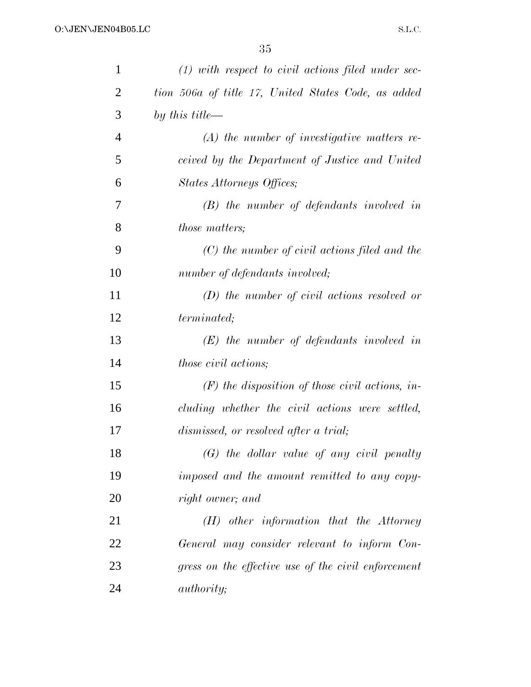| 1              | $(1)$ with respect to civil actions filed under sec- |
|----------------|------------------------------------------------------|
| $\overline{2}$ | tion 506a of title 17, United States Code, as added  |
| 3              | by this title—                                       |
| $\overline{4}$ | $(A)$ the number of investigative matters re-        |
| 5              | ceived by the Department of Justice and United       |
| 6              | States Attorneys Offices;                            |
| 7              | $(B)$ the number of defendants involved in           |
| 8              | <i>those matters;</i>                                |
| 9              | $(C)$ the number of civil actions filed and the      |
| 10             | number of defendants involved;                       |
| 11             | $(D)$ the number of civil actions resolved or        |
| 12             | <i>terminated</i> ;                                  |
| 13             | $(E)$ the number of defendants involved in           |
| 14             | <i>those civil actions;</i>                          |
| 15             | $(F)$ the disposition of those civil actions, in-    |
| 16             | cluding whether the civil actions were settled,      |
| 17             | dismissed, or resolved after a trial;                |
| 18             | $(G)$ the dollar value of any civil penalty          |
| 19             | imposed and the amount remitted to any copy-         |
| 20             | right owner; and                                     |
| 21             | $(H)$ other information that the Attorney            |
| 22             | General may consider relevant to inform Con-         |
| 23             | gress on the effective use of the civil enforcement  |
| 24             | <i>authority</i> ;                                   |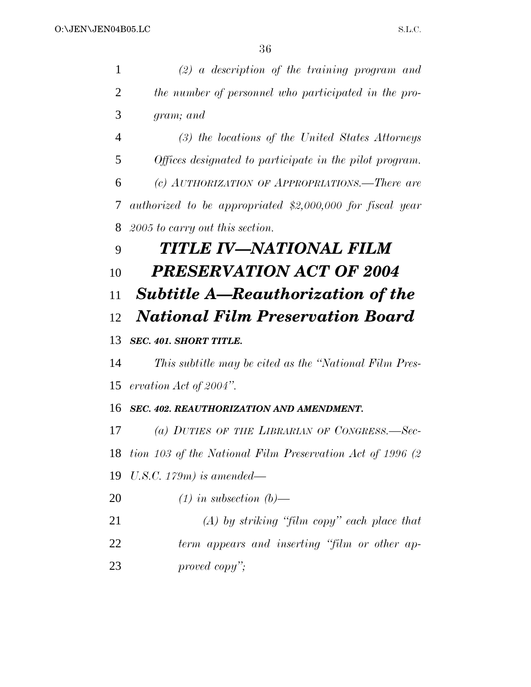| 1              | $(2)$ a description of the training program and            |
|----------------|------------------------------------------------------------|
| $\overline{2}$ | the number of personnel who participated in the pro-       |
| 3              | gram; and                                                  |
| $\overline{4}$ | (3) the locations of the United States Attorneys           |
| 5              | Offices designated to participate in the pilot program.    |
| 6              | (c) AUTHORIZATION OF APPROPRIATIONS.—There are             |
| 7              | authorized to be appropriated \$2,000,000 for fiscal year  |
| 8              | 2005 to carry out this section.                            |
| 9              | TITLE IV—NATIONAL FILM                                     |
| 10             | <b>PRESERVATION ACT OF 2004</b>                            |
| 11             | <b>Subtitle A—Reauthorization of the</b>                   |
| 12             | <b>National Film Preservation Board</b>                    |
| 13             | <b>SEC. 401. SHORT TITLE.</b>                              |
| 14             | This subtitle may be cited as the "National Film Pres-     |
| 15             | ervation Act of $2004$ ".                                  |
| 16             | SEC. 402. REAUTHORIZATION AND AMENDMENT.                   |
| 17             | (a) DUTIES OF THE LIBRARIAN OF CONGRESS.—Sec-              |
| 18             | tion 103 of the National Film Preservation Act of 1996 (2) |
| 19             | U.S.C. 179m) is amended—                                   |
| 20             | $(1)$ in subsection $(b)$ —                                |
| 21             | $(A)$ by striking "film copy" each place that              |
| 22             | term appears and inserting "film or other ap-              |
| 23             | proved copy";                                              |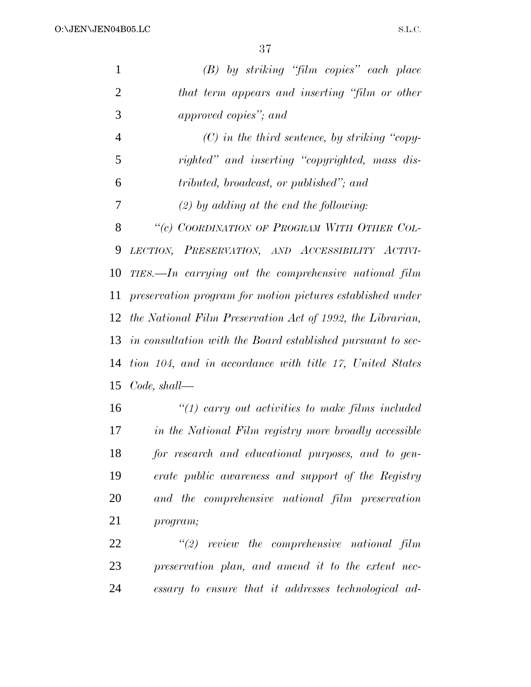| $\mathbf{1}$   | (B) by striking "film copies" each place                       |
|----------------|----------------------------------------------------------------|
| $\overline{2}$ | that term appears and inserting "film or other                 |
| 3              | approved copies"; and                                          |
| $\overline{4}$ | $(C)$ in the third sentence, by striking "copy-                |
| 5              | righted" and inserting "copyrighted, mass dis-                 |
| 6              | tributed, broadcast, or published"; and                        |
| 7              | $(2)$ by adding at the end the following:                      |
| 8              | "(c) COORDINATION OF PROGRAM WITH OTHER COL-                   |
| 9              | LECTION, PRESERVATION, AND ACCESSIBILITY ACTIVI-               |
| 10             | TIES.—In carrying out the comprehensive national film          |
| 11             | preservation program for motion pictures established under     |
|                | 12 the National Film Preservation Act of 1992, the Librarian,  |
|                | 13 in consultation with the Board established pursuant to sec- |
| 14             | tion 104, and in accordance with title 17, United States       |
| 15             | $Code, shall$ —                                                |
| 16             | $\lq(1)$ carry out activities to make films included           |
| 17             | in the National Film registry more broadly accessible          |
|                |                                                                |

 *for research and educational purposes, and to gen- erate public awareness and support of the Registry and the comprehensive national film preservation program;*

 *''(2) review the comprehensive national film preservation plan, and amend it to the extent nec-essary to ensure that it addresses technological ad-*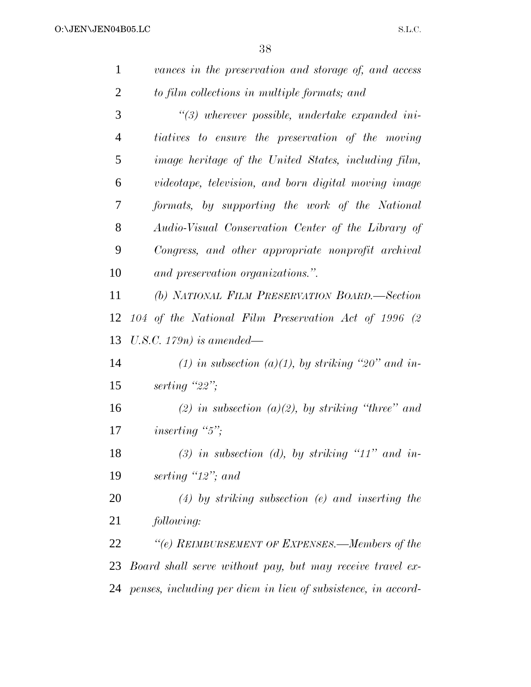| $\mathbf{1}$   | vances in the preservation and storage of, and access            |
|----------------|------------------------------------------------------------------|
| $\overline{2}$ | to film collections in multiple formats; and                     |
| 3              | $\lq(3)$ wherever possible, undertake expanded ini-              |
| $\overline{4}$ | tiatives to ensure the preservation of the moving                |
| 5              | <i>image heritage of the United States, including film,</i>      |
| 6              | videotape, television, and born digital moving image             |
| 7              | formats, by supporting the work of the National                  |
| 8              | Audio-Visual Conservation Center of the Library of               |
| 9              | Congress, and other appropriate nonprofit archival               |
| 10             | and preservation organizations.".                                |
| 11             | (b) NATIONAL FILM PRESERVATION BOARD.-Section                    |
| 12             | 104 of the National Film Preservation Act of 1996 (2             |
| 13             | U.S.C. $179n$ ) is amended—                                      |
| 14             | (1) in subsection (a)(1), by striking "20" and in-               |
| 15             | serting " $22$ ";                                                |
| 16             | (2) in subsection (a)(2), by striking "three" and                |
| 17             | inserting " $5$ ";                                               |
| 18             | (3) in subsection (d), by striking "11" and in-                  |
| 19             | serting $'12'$ ; and                                             |
| 20             | $(4)$ by striking subsection (e) and inserting the               |
| 21             | following:                                                       |
| 22             | "(e) REIMBURSEMENT OF EXPENSES.—Members of the                   |
| 23             | Board shall serve without pay, but may receive travel ex-        |
|                | 24 penses, including per diem in lieu of subsistence, in accord- |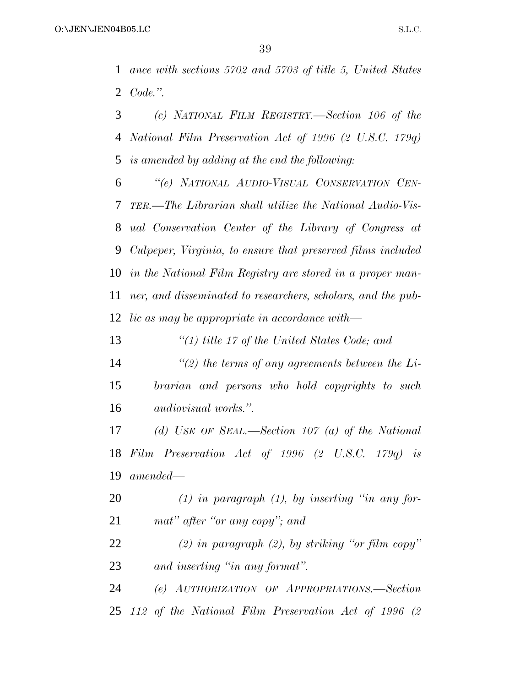*ance with sections 5702 and 5703 of title 5, United States Code.''.*

 *(c) NATIONAL FILM REGISTRY.—Section 106 of the National Film Preservation Act of 1996 (2 U.S.C. 179q) is amended by adding at the end the following:*

 *''(e) NATIONAL AUDIO-VISUAL CONSERVATION CEN- TER.—The Librarian shall utilize the National Audio-Vis- ual Conservation Center of the Library of Congress at Culpeper, Virginia, to ensure that preserved films included in the National Film Registry are stored in a proper man- ner, and disseminated to researchers, scholars, and the pub-lic as may be appropriate in accordance with—*

*''(1) title 17 of the United States Code; and*

 *''(2) the terms of any agreements between the Li- brarian and persons who hold copyrights to such audiovisual works.''.*

 *(d) USE OF SEAL.—Section 107 (a) of the National Film Preservation Act of 1996 (2 U.S.C. 179q) is amended—*

 *(1) in paragraph (1), by inserting ''in any for-mat'' after ''or any copy''; and*

 *(2) in paragraph (2), by striking ''or film copy'' and inserting ''in any format''.*

 *(e) AUTHORIZATION OF APPROPRIATIONS.—Section 112 of the National Film Preservation Act of 1996 (2*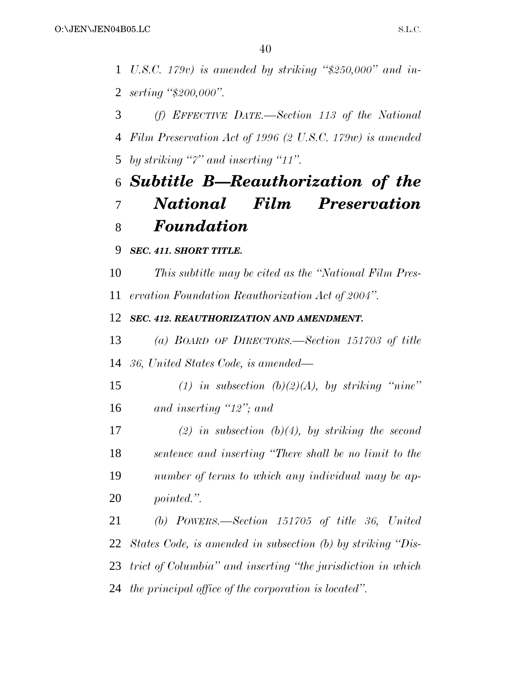*U.S.C. 179v) is amended by striking ''\$250,000'' and in-serting ''\$200,000''.*

 *(f) EFFECTIVE DATE.—Section 113 of the National Film Preservation Act of 1996 (2 U.S.C. 179w) is amended by striking ''7'' and inserting ''11''.*

## *Subtitle B—Reauthorization of the National Film Preservation Foundation*

*SEC. 411. SHORT TITLE.*

 *This subtitle may be cited as the ''National Film Pres-ervation Foundation Reauthorization Act of 2004''.*

*SEC. 412. REAUTHORIZATION AND AMENDMENT.*

 *(a) BOARD OF DIRECTORS.—Section 151703 of title 36, United States Code, is amended—*

 *(1) in subsection (b)(2)(A), by striking ''nine'' and inserting ''12''; and*

 *(2) in subsection (b)(4), by striking the second sentence and inserting ''There shall be no limit to the number of terms to which any individual may be ap-pointed.''.*

 *(b) POWERS.—Section 151705 of title 36, United States Code, is amended in subsection (b) by striking ''Dis- trict of Columbia'' and inserting ''the jurisdiction in which the principal office of the corporation is located''.*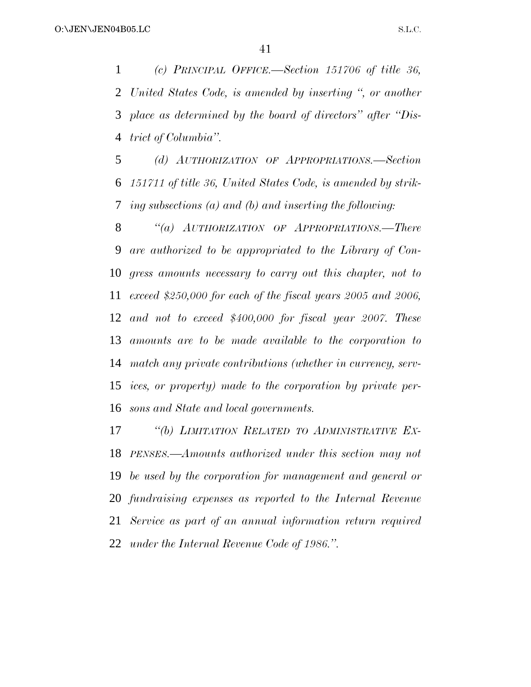*(c) PRINCIPAL OFFICE.—Section 151706 of title 36, United States Code, is amended by inserting '', or another place as determined by the board of directors'' after ''Dis-trict of Columbia''.*

 *(d) AUTHORIZATION OF APPROPRIATIONS.—Section 151711 of title 36, United States Code, is amended by strik-ing subsections (a) and (b) and inserting the following:*

 *''(a) AUTHORIZATION OF APPROPRIATIONS.—There are authorized to be appropriated to the Library of Con- gress amounts necessary to carry out this chapter, not to exceed \$250,000 for each of the fiscal years 2005 and 2006, and not to exceed \$400,000 for fiscal year 2007. These amounts are to be made available to the corporation to match any private contributions (whether in currency, serv- ices, or property) made to the corporation by private per-sons and State and local governments.*

 *''(b) LIMITATION RELATED TO ADMINISTRATIVE EX- PENSES.—Amounts authorized under this section may not be used by the corporation for management and general or fundraising expenses as reported to the Internal Revenue Service as part of an annual information return required under the Internal Revenue Code of 1986.''.*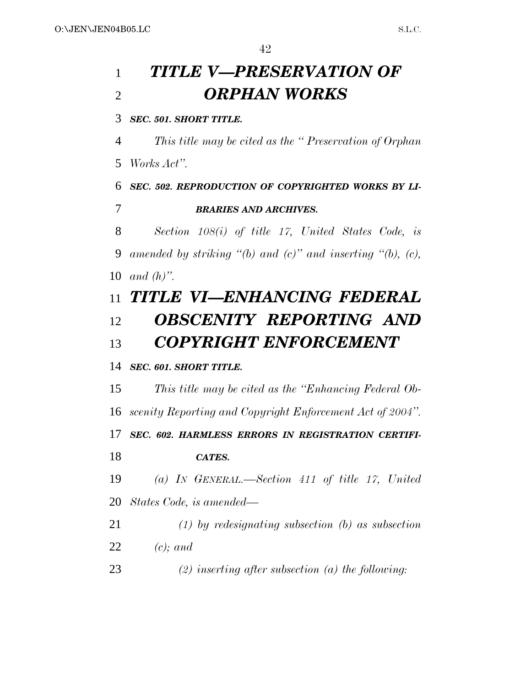# *TITLE V—PRESERVATION OF ORPHAN WORKS*

*SEC. 501. SHORT TITLE.*

 *This title may be cited as the '' Preservation of Orphan Works Act''.*

 *SEC. 502. REPRODUCTION OF COPYRIGHTED WORKS BY LI-BRARIES AND ARCHIVES.*

 *Section 108(i) of title 17, United States Code, is amended by striking ''(b) and (c)'' and inserting ''(b), (c), and (h)''.*

## *TITLE VI—ENHANCING FEDERAL OBSCENITY REPORTING AND COPYRIGHT ENFORCEMENT*

### *SEC. 601. SHORT TITLE.*

 *This title may be cited as the ''Enhancing Federal Ob- scenity Reporting and Copyright Enforcement Act of 2004''. SEC. 602. HARMLESS ERRORS IN REGISTRATION CERTIFI- CATES. (a) IN GENERAL.—Section 411 of title 17, United*

*States Code, is amended—*

 *(1) by redesignating subsection (b) as subsection (c); and*

*(2) inserting after subsection (a) the following:*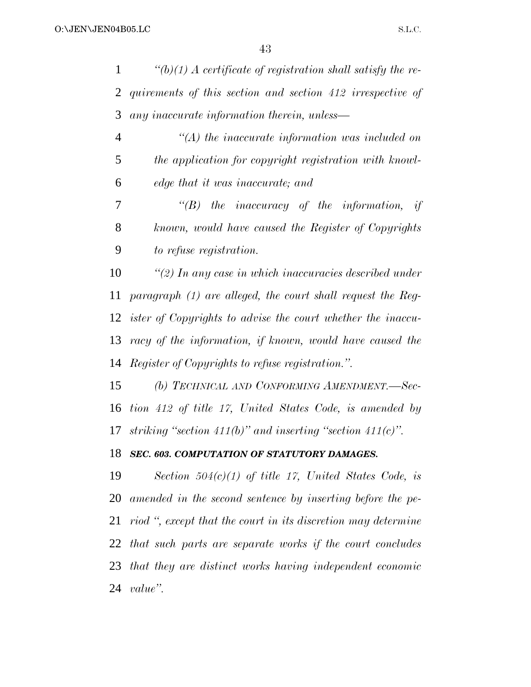| $\mathbf{1}$   | $\lq(b)(1)$ A certificate of registration shall satisfy the re-    |
|----------------|--------------------------------------------------------------------|
| 2              | quirements of this section and section 412 irrespective of         |
| 3              | any inaccurate information therein, unless—                        |
| $\overline{4}$ | $\lq (A)$ the inaccurate information was included on               |
| 5              | the application for copyright registration with knowl-             |
| 6              | edge that it was inaccurate; and                                   |
| 7              | $\lq\lq B$ the inaccuracy of the information, if                   |
| $8\phantom{1}$ | known, would have caused the Register of Copyrights                |
| 9              | to refuse registration.                                            |
| 10             | $\lq(2)$ In any case in which inaccuracies described under         |
| 11             | paragraph $(1)$ are alleged, the court shall request the Reg-      |
| 12             | <i>ister of Copyrights to advise the court whether the inaccu-</i> |
| 13             | racy of the information, if known, would have caused the           |
| 14             | <i>Register of Copyrights to refuse registration.".</i>            |
| 15             | (b) TECHNICAL AND CONFORMING AMENDMENT.-Sec-                       |
| 16             | tion 412 of title 17, United States Code, is amended by            |
| 17             | striking "section 411(b)" and inserting "section 411(c)".          |
| 18             | SEC. 603. COMPUTATION OF STATUTORY DAMAGES.                        |
| 19             | Section $504(c)(1)$ of title 17, United States Code, is            |
| 20             | amended in the second sentence by inserting before the pe-         |
| 21             | riod ", except that the court in its discretion may determine      |
|                | 22 that such parts are separate works if the court concludes       |
|                | 23 that they are distinct works having independent economic        |
| 24             | value".                                                            |